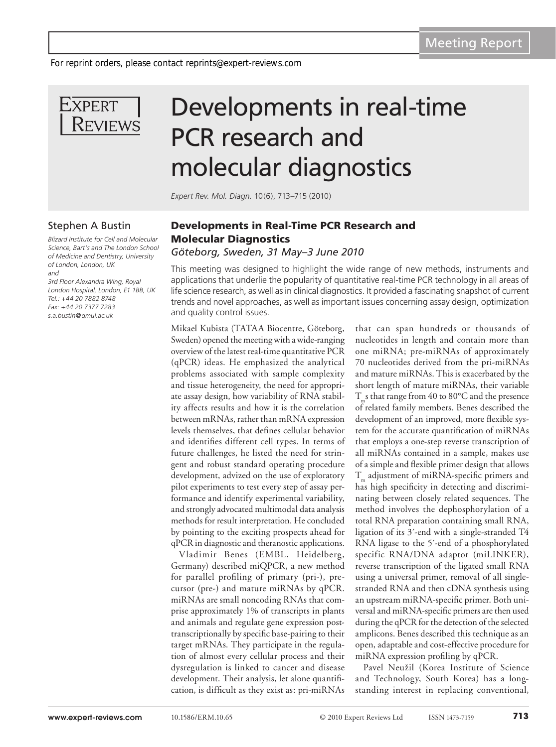*For reprint orders, please contact reprints@expert-reviews.com*



## Developments in real-time PCR research and molecular diagnostics

*Expert Rev. Mol. Diagn.* 10(6), 713–715 (2010)

## Stephen A Bustin

*s.a.bustin@qmul.ac.uk* 

*Blizard Institute for Cell and Molecular Science, Bart's and The London School of Medicine and Dentistry, University of London, London, UK and 3rd Floor Alexandra Wing, Royal London Hospital, London, E1 1BB, UK Tel.: +44 20 7882 8748 Fax: +44 20 7377 7283*

## Developments in Real-Time PCR Research and Molecular Diagnostics

*Göteborg, Sweden, 31 May–3 June 2010*

This meeting was designed to highlight the wide range of new methods, instruments and applications that underlie the popularity of quantitative real-time PCR technology in all areas of life science research, as well as in clinical diagnostics. It provided a fascinating snapshot of current trends and novel approaches, as well as important issues concerning assay design, optimization and quality control issues.

Mikael Kubista (TATAA Biocentre, Göteborg, Sweden) opened the meeting with a wide-ranging overview of the latest real-time quantitative PCR (qPCR) ideas. He emphasized the analytical problems associated with sample complexity and tissue heterogeneity, the need for appropriate assay design, how variability of RNA stability affects results and how it is the correlation between mRNAs, rather than mRNA expression levels themselves, that defines cellular behavior and identifies different cell types. In terms of future challenges, he listed the need for stringent and robust standard operating procedure development, advized on the use of exploratory pilot experiments to test every step of assay performance and identify experimental variability, and strongly advocated multimodal data analysis methods for result interpretation. He concluded by pointing to the exciting prospects ahead for qPCR in diagnostic and theranostic applications.

Vladimir Benes (EMBL, Heidelberg, Germany) described miQPCR, a new method for parallel profiling of primary (pri-), precursor (pre-) and mature miRNAs by qPCR. miRNAs are small noncoding RNAs that comprise approximately 1% of transcripts in plants and animals and regulate gene expression posttranscriptionally by specific base-pairing to their target mRNAs. They participate in the regulation of almost every cellular process and their dysregulation is linked to cancer and disease development. Their analysis, let alone quantification, is difficult as they exist as: pri-miRNAs

that can span hundreds or thousands of nucleotides in length and contain more than one miRNA; pre-miRNAs of approximately 70 nucleotides derived from the pri-miRNAs and mature miRNAs. This is exacerbated by the short length of mature miRNAs, their variable  $T_s$  s that range from 40 to 80 $^{\circ}$ C and the presence of related family members. Benes described the development of an improved, more flexible system for the accurate quantification of miRNAs that employs a one-step reverse transcription of all miRNAs contained in a sample, makes use of a simple and flexible primer design that allows T adjustment of miRNA-specific primers and has high specificity in detecting and discriminating between closely related sequences. The method involves the dephosphorylation of a total RNA preparation containing small RNA, ligation of its 3´-end with a single-stranded T4 RNA ligase to the 5´-end of a phosphorylated specific RNA/DNA adaptor (miLINKER), reverse transcription of the ligated small RNA using a universal primer, removal of all singlestranded RNA and then cDNA synthesis using an upstream miRNA-specific primer. Both universal and miRNA-specific primers are then used during the qPCR for the detection of the selected amplicons. Benes described this technique as an open, adaptable and cost-effective procedure for miRNA expression profiling by qPCR.

Pavel Neužil (Korea Institute of Science and Technology, South Korea) has a longstanding interest in replacing conventional,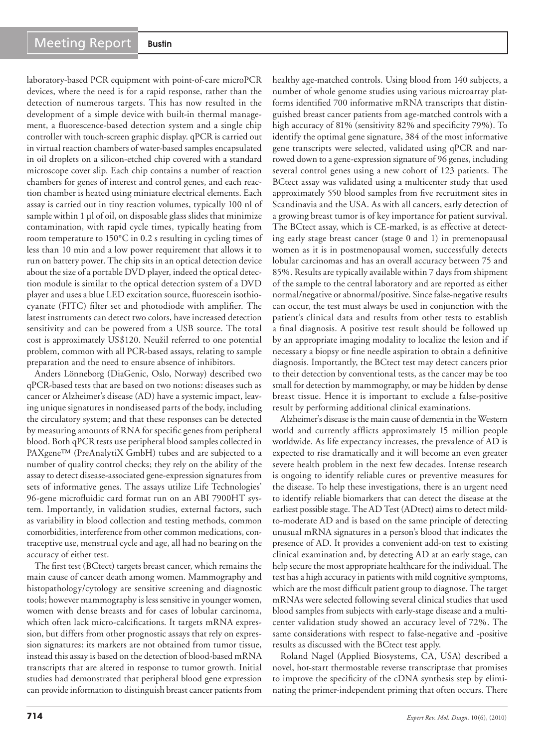laboratory-based PCR equipment with point-of-care microPCR devices, where the need is for a rapid response, rather than the detection of numerous targets. This has now resulted in the development of a simple device with built-in thermal management, a fluorescence-based detection system and a single chip controller with touch-screen graphic display. qPCR is carried out in virtual reaction chambers of water-based samples encapsulated in oil droplets on a silicon-etched chip covered with a standard microscope cover slip. Each chip contains a number of reaction chambers for genes of interest and control genes, and each reaction chamber is heated using miniature electrical elements. Each assay is carried out in tiny reaction volumes, typically 100 nl of sample within 1 µl of oil, on disposable glass slides that minimize contamination, with rapid cycle times, typically heating from room temperature to 150°C in 0.2 s resulting in cycling times of less than 10 min and a low power requirement that allows it to run on battery power. The chip sits in an optical detection device about the size of a portable DVD player, indeed the optical detection module is similar to the optical detection system of a DVD player and uses a blue LED excitation source, fluorescein isothiocyanate (FITC) filter set and photodiode with amplifier. The latest instruments can detect two colors, have increased detection sensitivity and can be powered from a USB source. The total cost is approximately US\$120. Neužil referred to one potential problem, common with all PCR-based assays, relating to sample preparation and the need to ensure absence of inhibitors.

Anders Lönneborg (DiaGenic, Oslo, Norway) described two qPCR-based tests that are based on two notions: diseases such as cancer or Alzheimer's disease (AD) have a systemic impact, leaving unique signatures in nondiseased parts of the body, including the circulatory system; and that these responses can be detected by measuring amounts of RNA for specific genes from peripheral blood. Both qPCR tests use peripheral blood samples collected in PAXgene™ (PreAnalytiX GmbH) tubes and are subjected to a number of quality control checks; they rely on the ability of the assay to detect disease-associated gene-expression signatures from sets of informative genes. The assays utilize Life Technologies' 96-gene microfluidic card format run on an ABI 7900HT system. Importantly, in validation studies, external factors, such as variability in blood collection and testing methods, common comorbidities, interference from other common medications, contraceptive use, menstrual cycle and age, all had no bearing on the accuracy of either test.

The first test (BCtect) targets breast cancer, which remains the main cause of cancer death among women. Mammography and histopathology/cytology are sensitive screening and diagnostic tools; however mammography is less sensitive in younger women, women with dense breasts and for cases of lobular carcinoma, which often lack micro-calcifications. It targets mRNA expression, but differs from other prognostic assays that rely on expression signatures: its markers are not obtained from tumor tissue, instead this assay is based on the detection of blood-based mRNA transcripts that are altered in response to tumor growth. Initial studies had demonstrated that peripheral blood gene expression can provide information to distinguish breast cancer patients from

healthy age-matched controls. Using blood from 140 subjects, a number of whole genome studies using various microarray platforms identified 700 informative mRNA transcripts that distinguished breast cancer patients from age-matched controls with a high accuracy of 81% (sensitivity 82% and specificity 79%). To identify the optimal gene signature, 384 of the most informative gene transcripts were selected, validated using qPCR and narrowed down to a gene-expression signature of 96 genes, including several control genes using a new cohort of 123 patients. The BCtect assay was validated using a multicenter study that used approximately 550 blood samples from five recruitment sites in Scandinavia and the USA. As with all cancers, early detection of a growing breast tumor is of key importance for patient survival. The BCtect assay, which is CE-marked, is as effective at detecting early stage breast cancer (stage 0 and 1) in premenopausal women as it is in postmenopausal women, successfully detects lobular carcinomas and has an overall accuracy between 75 and 85%. Results are typically available within 7 days from shipment of the sample to the central laboratory and are reported as either normal/negative or abnormal/positive. Since false-negative results can occur, the test must always be used in conjunction with the patient's clinical data and results from other tests to establish a final diagnosis. A positive test result should be followed up by an appropriate imaging modality to localize the lesion and if necessary a biopsy or fine needle aspiration to obtain a definitive diagnosis. Importantly, the BCtect test may detect cancers prior to their detection by conventional tests, as the cancer may be too small for detection by mammography, or may be hidden by dense breast tissue. Hence it is important to exclude a false-positive result by performing additional clinical examinations.

Alzheimer's disease is the main cause of dementia in the Western world and currently afflicts approximately 15 million people worldwide. As life expectancy increases, the prevalence of AD is expected to rise dramatically and it will become an even greater severe health problem in the next few decades. Intense research is ongoing to identify reliable cures or preventive measures for the disease. To help these investigations, there is an urgent need to identify reliable biomarkers that can detect the disease at the earliest possible stage. The AD Test (ADtect) aims to detect mildto-moderate AD and is based on the same principle of detecting unusual mRNA signatures in a person's blood that indicates the presence of AD. It provides a convenient add-on test to existing clinical examination and, by detecting AD at an early stage, can help secure the most appropriate healthcare for the individual. The test has a high accuracy in patients with mild cognitive symptoms, which are the most difficult patient group to diagnose. The target mRNAs were selected following several clinical studies that used blood samples from subjects with early-stage disease and a multicenter validation study showed an accuracy level of 72%. The same considerations with respect to false-negative and -positive results as discussed with the BCtect test apply.

Roland Nagel (Applied Biosystems, CA, USA) described a novel, hot-start thermostable reverse transcriptase that promises to improve the specificity of the cDNA synthesis step by eliminating the primer-independent priming that often occurs. There